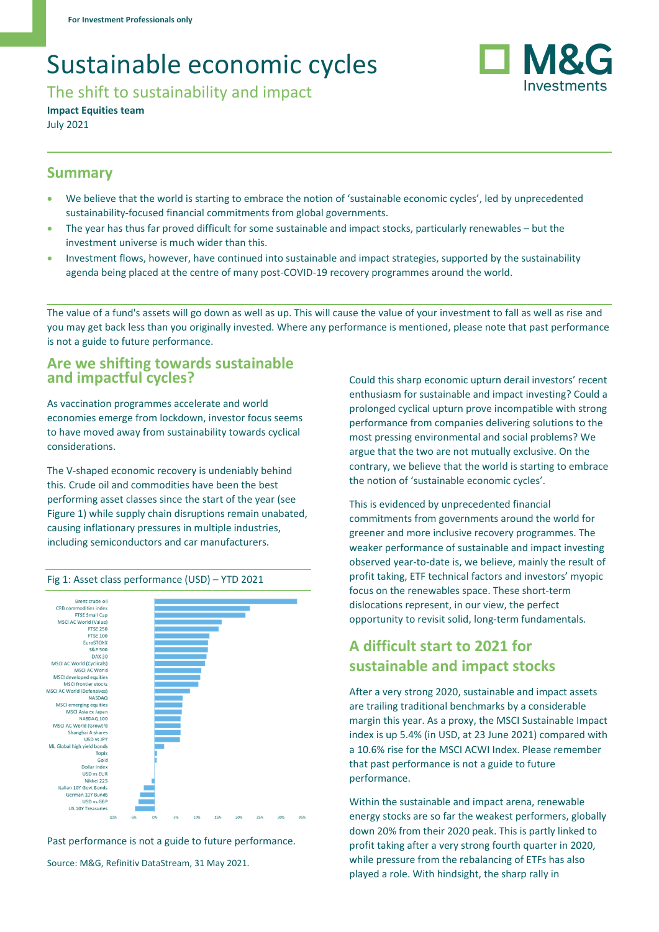# Sustainable economic cycles

The shift to sustainability and impact

**Impact Equities team** July 2021

### **Summary**

- We believe that the world is starting to embrace the notion of 'sustainable economic cycles', led by unprecedented sustainability-focused financial commitments from global governments.
- The year has thus far proved difficult for some sustainable and impact stocks, particularly renewables but the investment universe is much wider than this.
- Investment flows, however, have continued into sustainable and impact strategies, supported by the sustainability agenda being placed at the centre of many post-COVID-19 recovery programmes around the world.

The value of a fund's assets will go down as well as up. This will cause the value of your investment to fall as well as rise and you may get back less than you originally invested. Where any performance is mentioned, please note that past performance is not a guide to future performance.

#### **Are we shifting towards sustainable and impactful cycles?**

As vaccination programmes accelerate and world economies emerge from lockdown, investor focus seems to have moved away from sustainability towards cyclical considerations.

The V-shaped economic recovery is undeniably behind this. Crude oil and commodities have been the best performing asset classes since the start of the year (see Figure 1) while supply chain disruptions remain unabated, causing inflationary pressures in multiple industries, including semiconductors and car manufacturers.



Fig 1: Asset class performance (USD) – YTD 2021

Past performance is not a guide to future performance.

Source: M&G, Refinitiv DataStream, 31 May 2021.

Could this sharp economic upturn derail investors' recent enthusiasm for sustainable and impact investing? Could a prolonged cyclical upturn prove incompatible with strong performance from companies delivering solutions to the most pressing environmental and social problems? We argue that the two are not mutually exclusive. On the contrary, we believe that the world is starting to embrace the notion of 'sustainable economic cycles'.

Investments

This is evidenced by unprecedented financial commitments from governments around the world for greener and more inclusive recovery programmes. The weaker performance of sustainable and impact investing observed year-to-date is, we believe, mainly the result of profit taking, ETF technical factors and investors' myopic focus on the renewables space. These short-term dislocations represent, in our view, the perfect opportunity to revisit solid, long-term fundamentals.

# **A difficult start to 2021 for sustainable and impact stocks**

After a very strong 2020, sustainable and impact assets are trailing traditional benchmarks by a considerable margin this year. As a proxy, the MSCI Sustainable Impact index is up 5.4% (in USD, at 23 June 2021) compared with a 10.6% rise for the MSCI ACWI Index. Please remember that past performance is not a guide to future performance.

Within the sustainable and impact arena, renewable energy stocks are so far the weakest performers, globally down 20% from their 2020 peak. This is partly linked to profit taking after a very strong fourth quarter in 2020, while pressure from the rebalancing of ETFs has also played a role. With hindsight, the sharp rally in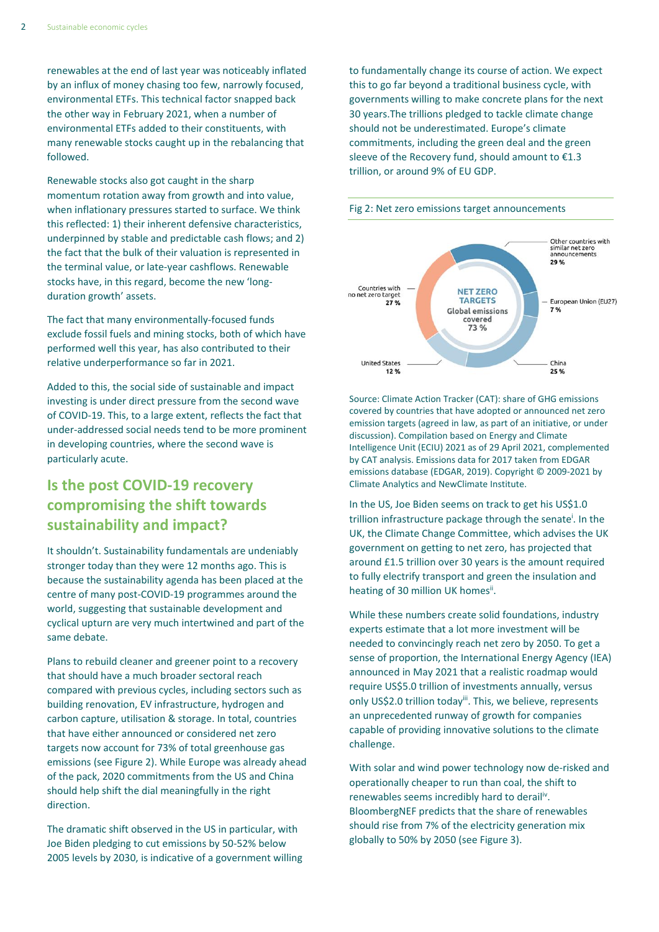renewables at the end of last year was noticeably inflated by an influx of money chasing too few, narrowly focused, environmental ETFs. This technical factor snapped back the other way in February 2021, when a number of environmental ETFs added to their constituents, with many renewable stocks caught up in the rebalancing that followed.

Renewable stocks also got caught in the sharp momentum rotation away from growth and into value, when inflationary pressures started to surface. We think this reflected: 1) their inherent defensive characteristics, underpinned by stable and predictable cash flows; and 2) the fact that the bulk of their valuation is represented in the terminal value, or late-year cashflows. Renewable stocks have, in this regard, become the new 'longduration growth' assets.

The fact that many environmentally-focused funds exclude fossil fuels and mining stocks, both of which have performed well this year, has also contributed to their relative underperformance so far in 2021.

Added to this, the social side of sustainable and impact investing is under direct pressure from the second wave of COVID-19. This, to a large extent, reflects the fact that under-addressed social needs tend to be more prominent in developing countries, where the second wave is particularly acute.

# **Is the post COVID-19 recovery compromising the shift towards sustainability and impact?**

It shouldn't. Sustainability fundamentals are undeniably stronger today than they were 12 months ago. This is because the sustainability agenda has been placed at the centre of many post-COVID-19 programmes around the world, suggesting that sustainable development and cyclical upturn are very much intertwined and part of the same debate.

Plans to rebuild cleaner and greener point to a recovery that should have a much broader sectoral reach compared with previous cycles, including sectors such as building renovation, EV infrastructure, hydrogen and carbon capture, utilisation & storage. In total, countries that have either announced or considered net zero targets now account for 73% of total greenhouse gas emissions (see Figure 2). While Europe was already ahead of the pack, 2020 commitments from the US and China should help shift the dial meaningfully in the right direction.

The dramatic shift observed in the US in particular, with Joe Biden pledging to cut emissions by 50-52% below 2005 levels by 2030, is indicative of a government willing to fundamentally change its course of action. We expect this to go far beyond a traditional business cycle, with governments willing to make concrete plans for the next 30 years.The trillions pledged to tackle climate change should not be underestimated. Europe's climate commitments, including the green deal and the green sleeve of the Recovery fund, should amount to €1.3 trillion, or around 9% of EU GDP.



#### Fig 2: Net zero emissions target announcements

Source: Climate Action Tracker (CAT): share of GHG emissions covered by countries that have adopted or announced net zero emission targets (agreed in law, as part of an initiative, or under discussion). Compilation based on Energy and Climate Intelligence Unit (ECIU) 2021 as of 29 April 2021, complemented by CAT analysis. Emissions data for 2017 taken from EDGAR emissions database (EDGAR, 2019). Copyright © 2009-2021 by Climate Analytics and NewClimate Institute.

In the US, Joe Biden seems on track to get his US\$1.0 trillion infrastructure package through the senate<sup>i</sup>. In the UK, the Climate Change Committee, which advises the UK government on getting to net zero, has projected that around £1.5 trillion over 30 years is the amount required to fully electrify transport and green the insulation and heating of 30 million UK homesii.

While these numbers create solid foundations, industry experts estimate that a lot more investment will be needed to convincingly reach net zero by 2050. To get a sense of proportion, the International Energy Agency (IEA) announced in May 2021 that a realistic roadmap would require US\$5.0 trillion of investments annually, versus only US\$2.0 trillion todayii. This, we believe, represents an unprecedented runway of growth for companies capable of providing innovative solutions to the climate challenge.

With solar and wind power technology now de-risked and operationally cheaper to run than coal, the shift to renewables seems incredibly hard to derail<sup>iv</sup>. BloombergNEF predicts that the share of renewables should rise from 7% of the electricity generation mix globally to 50% by 2050 (see Figure 3).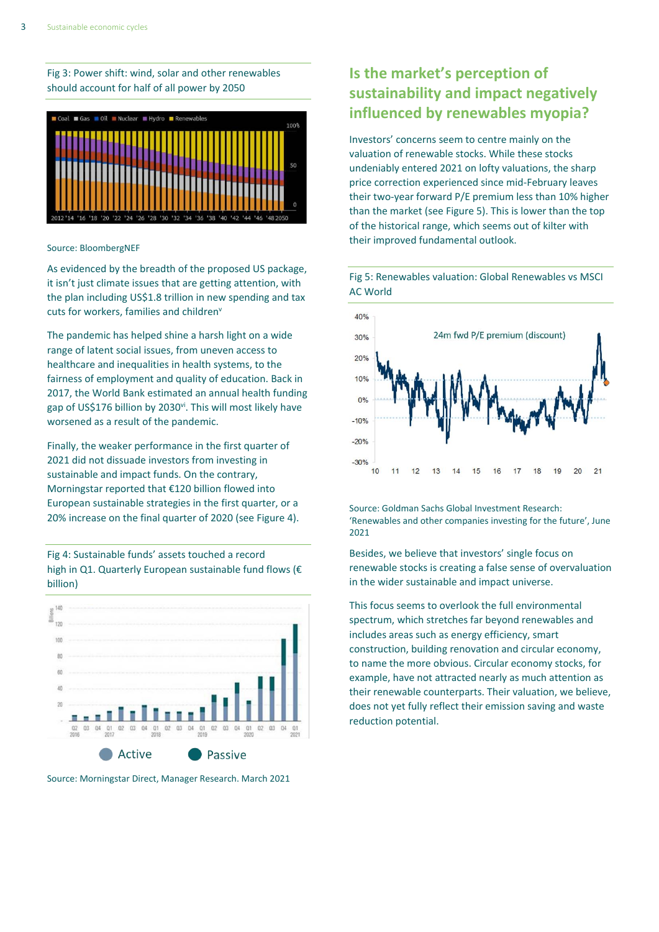Fig 3: Power shift: wind, solar and other renewables should account for half of all power by 2050



Source: BloombergNEF

As evidenced by the breadth of the proposed US package, it isn't just climate issues that are getting attention, with the plan including US\$1.8 trillion in new spending and tax cuts for workers, families and children<sup>v</sup>

The pandemic has helped shine a harsh light on a wide range of latent social issues, from uneven access to healthcare and inequalities in health systems, to the fairness of employment and quality of education. Back in 2017, the World Bank estimated an annual health funding gap of US\$176 billion by 2030<sup>vi</sup>. This will most likely have worsened as a result of the pandemic.

Finally, the weaker performance in the first quarter of 2021 did not dissuade investors from investing in sustainable and impact funds. On the contrary, Morningstar reported that €120 billion flowed into European sustainable strategies in the first quarter, or a 20% increase on the final quarter of 2020 (see Figure 4).

Fig 4: Sustainable funds' assets touched a record high in Q1. Quarterly European sustainable fund flows (€ billion)



Source: Morningstar Direct, Manager Research. March 2021

# **Is the market's perception of sustainability and impact negatively influenced by renewables myopia?**

Investors' concerns seem to centre mainly on the valuation of renewable stocks. While these stocks undeniably entered 2021 on lofty valuations, the sharp price correction experienced since mid-February leaves their two-year forward P/E premium less than 10% higher than the market (see Figure 5). This is lower than the top of the historical range, which seems out of kilter with their improved fundamental outlook.

Fig 5: Renewables valuation: Global Renewables vs MSCI AC World



Source: Goldman Sachs Global Investment Research: 'Renewables and other companies investing for the future', June 2021

Besides, we believe that investors' single focus on renewable stocks is creating a false sense of overvaluation in the wider sustainable and impact universe.

This focus seems to overlook the full environmental spectrum, which stretches far beyond renewables and includes areas such as energy efficiency, smart construction, building renovation and circular economy, to name the more obvious. Circular economy stocks, for example, have not attracted nearly as much attention as their renewable counterparts. Their valuation, we believe, does not yet fully reflect their emission saving and waste reduction potential.